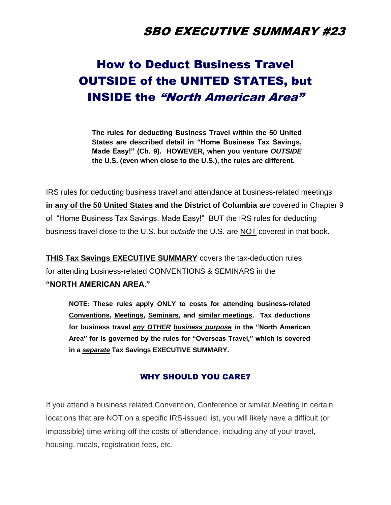## SBO EXECUTIVE SUMMARY #23

# How to Deduct Business Travel OUTSIDE of the UNITED STATES, but INSIDE the "North American Area"

**The rules for deducting Business Travel within the 50 United States are described detail in "Home Business Tax Savings, Made Easy!" (Ch. 9). HOWEVER, when you venture** *OUTSIDE* **the U.S. (even when close to the U.S.), the rules are different.** 

IRS rules for deducting business travel and attendance at business-related meetings **in any of the 50 United States and the District of Columbia** are covered in Chapter 9 of "Home Business Tax Savings, Made Easy!" BUT the IRS rules for deducting business travel close to the U.S. but *outside* the U.S. are NOT covered in that book.

**THIS Tax Savings EXECUTIVE SUMMARY** covers the tax-deduction rules for attending business-related CONVENTIONS & SEMINARS in the **"NORTH AMERICAN AREA."** 

**NOTE: These rules apply ONLY to costs for attending business-related Conventions, Meetings, Seminars, and similar meetings. Tax deductions for business travel** *any OTHER business purpose* **in the "North American Area" for is governed by the rules for "Overseas Travel," which is covered in a** *separate* **Tax Savings EXECUTIVE SUMMARY.** 

### WHY SHOULD YOU CARE?

If you attend a business related Convention, Conference or similar Meeting in certain locations that are NOT on a specific IRS-issued list, you will likely have a difficult (or impossible) time writing-off the costs of attendance, including any of your travel, housing, meals, registration fees, etc.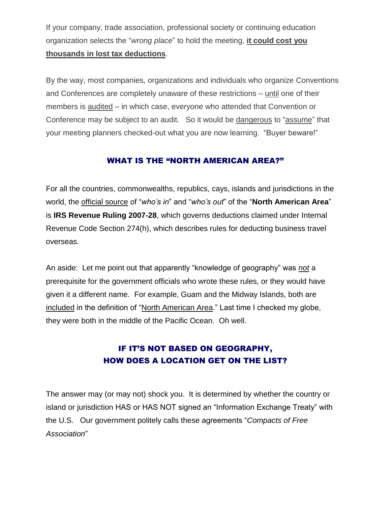If your company, trade association, professional society or continuing education organization selects the "*wrong place*" to hold the meeting, **it could cost you thousands in lost tax deductions**.

By the way, most companies, organizations and individuals who organize Conventions and Conferences are completely unaware of these restrictions – until one of their members is audited – in which case, everyone who attended that Convention or Conference may be subject to an audit. So it would be dangerous to "assume" that your meeting planners checked-out what you are now learning. "Buyer beware!"

### WHAT IS THE "NORTH AMERICAN AREA?"

For all the countries, commonwealths, republics, cays, islands and jurisdictions in the world, the official source of "*who's in*" and "*who's out*" of the "**North American Area**" is **IRS Revenue Ruling 2007-28**, which governs deductions claimed under Internal Revenue Code Section 274(h), which describes rules for deducting business travel overseas.

An aside: Let me point out that apparently "knowledge of geography" was *not* a prerequisite for the government officials who wrote these rules, or they would have given it a different name. For example, Guam and the Midway Islands, both are included in the definition of "North American Area." Last time I checked my globe, they were both in the middle of the Pacific Ocean. Oh well.

### IF IT'S NOT BASED ON GEOGRAPHY, HOW DOES A LOCATION GET ON THE LIST?

The answer may (or may not) shock you. It is determined by whether the country or island or jurisdiction HAS or HAS NOT signed an "Information Exchange Treaty" with the U.S. Our government politely calls these agreements "*Compacts of Free Association*"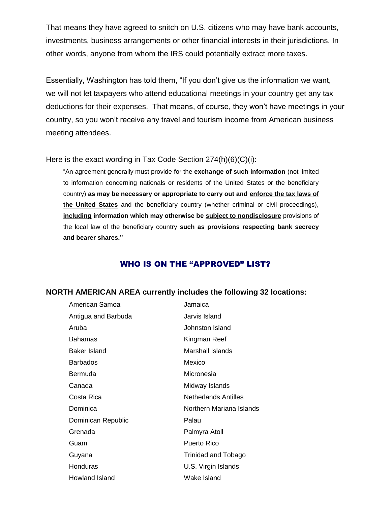That means they have agreed to snitch on U.S. citizens who may have bank accounts, investments, business arrangements or other financial interests in their jurisdictions. In other words, anyone from whom the IRS could potentially extract more taxes.

Essentially, Washington has told them, "If you don't give us the information we want, we will not let taxpayers who attend educational meetings in your country get any tax deductions for their expenses. That means, of course, they won't have meetings in your country, so you won't receive any travel and tourism income from American business meeting attendees.

Here is the exact wording in Tax Code Section 274(h)(6)(C)(i):

"An agreement generally must provide for the **exchange of such information** (not limited to information concerning nationals or residents of the United States or the beneficiary country) **as may be necessary or appropriate to carry out and enforce the tax laws of the United States** and the beneficiary country (whether criminal or civil proceedings), **including information which may otherwise be subject to nondisclosure** provisions of the local law of the beneficiary country **such as provisions respecting bank secrecy and bearer shares."**

### WHO IS ON THE "APPROVED" LIST?

### **NORTH AMERICAN AREA currently includes the following 32 locations:**

| American Samoa      | Jamaica                     |
|---------------------|-----------------------------|
| Antigua and Barbuda | Jarvis Island               |
| Aruba               | Johnston Island             |
| Bahamas             | Kingman Reef                |
| Baker Island        | Marshall Islands            |
| <b>Barbados</b>     | Mexico                      |
| Bermuda             | Micronesia                  |
| Canada              | Midway Islands              |
| Costa Rica          | <b>Netherlands Antilles</b> |
| Dominica            | Northern Mariana Islands    |
| Dominican Republic  | Palau                       |
| Grenada             | Palmyra Atoll               |
| Guam                | Puerto Rico                 |
| Guyana              | Trinidad and Tobago         |
| Honduras            | U.S. Virgin Islands         |
| Howland Island      | Wake Island                 |